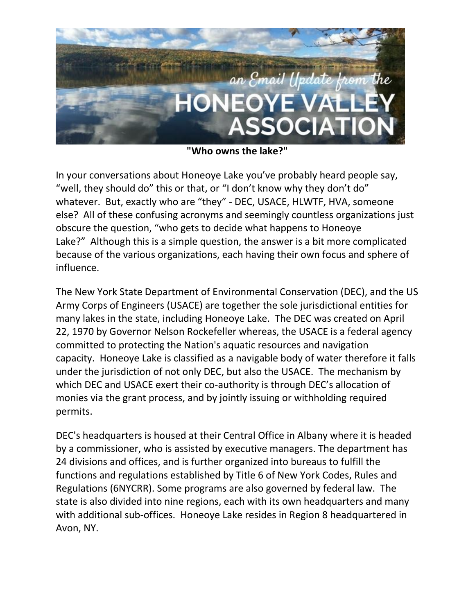

**"Who owns the lake?"**

In your conversations about Honeoye Lake you've probably heard people say, "well, they should do" this or that, or "I don't know why they don't do" whatever. But, exactly who are "they" - DEC, USACE, HLWTF, HVA, someone else? All of these confusing acronyms and seemingly countless organizations just obscure the question, "who gets to decide what happens to Honeoye Lake?" Although this is a simple question, the answer is a bit more complicated because of the various organizations, each having their own focus and sphere of influence.

The New York State Department of Environmental Conservation (DEC), and the US Army Corps of Engineers (USACE) are together the sole jurisdictional entities for many lakes in the state, including Honeoye Lake. The DEC was created on April 22, 1970 by Governor Nelson Rockefeller whereas, the USACE is a federal agency committed to protecting the Nation's aquatic resources and navigation capacity. Honeoye Lake is classified as a navigable body of water therefore it falls under the jurisdiction of not only DEC, but also the USACE. The mechanism by which DEC and USACE exert their co-authority is through DEC's allocation of monies via the grant process, and by jointly issuing or withholding required permits.

DEC's headquarters is housed at their Central Office in Albany where it is headed by a commissioner, who is assisted by executive managers. The department has 24 divisions and offices, and is further organized into bureaus to fulfill the functions and regulations established by Title 6 of New York Codes, Rules and Regulations (6NYCRR). Some programs are also governed by federal law. The state is also divided into nine regions, each with its own headquarters and many with additional sub-offices. Honeoye Lake resides in Region 8 headquartered in Avon, NY.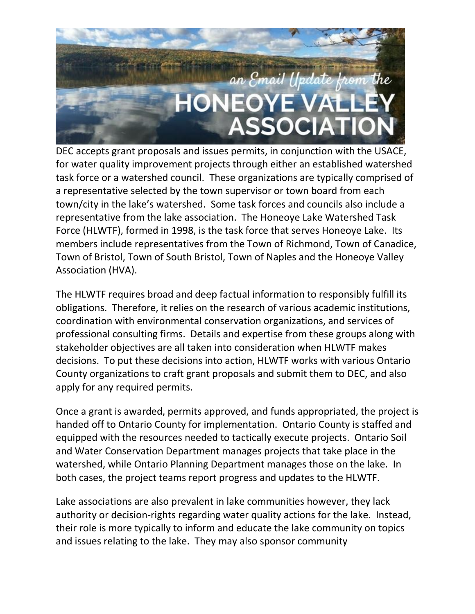

DEC accepts grant proposals and issues permits, in conjunction with the USACE, for water quality improvement projects through either an established watershed task force or a watershed council. These organizations are typically comprised of a representative selected by the town supervisor or town board from each town/city in the lake's watershed. Some task forces and councils also include a representative from the lake association. The Honeoye Lake Watershed Task Force (HLWTF), formed in 1998, is the task force that serves Honeoye Lake. Its members include representatives from the Town of Richmond, Town of Canadice, Town of Bristol, Town of South Bristol, Town of Naples and the Honeoye Valley Association (HVA).

The HLWTF requires broad and deep factual information to responsibly fulfill its obligations. Therefore, it relies on the research of various academic institutions, coordination with environmental conservation organizations, and services of professional consulting firms. Details and expertise from these groups along with stakeholder objectives are all taken into consideration when HLWTF makes decisions. To put these decisions into action, HLWTF works with various Ontario County organizations to craft grant proposals and submit them to DEC, and also apply for any required permits.

Once a grant is awarded, permits approved, and funds appropriated, the project is handed off to Ontario County for implementation. Ontario County is staffed and equipped with the resources needed to tactically execute projects. Ontario Soil and Water Conservation Department manages projects that take place in the watershed, while Ontario Planning Department manages those on the lake. In both cases, the project teams report progress and updates to the HLWTF.

Lake associations are also prevalent in lake communities however, they lack authority or decision-rights regarding water quality actions for the lake. Instead, their role is more typically to inform and educate the lake community on topics and issues relating to the lake. They may also sponsor community